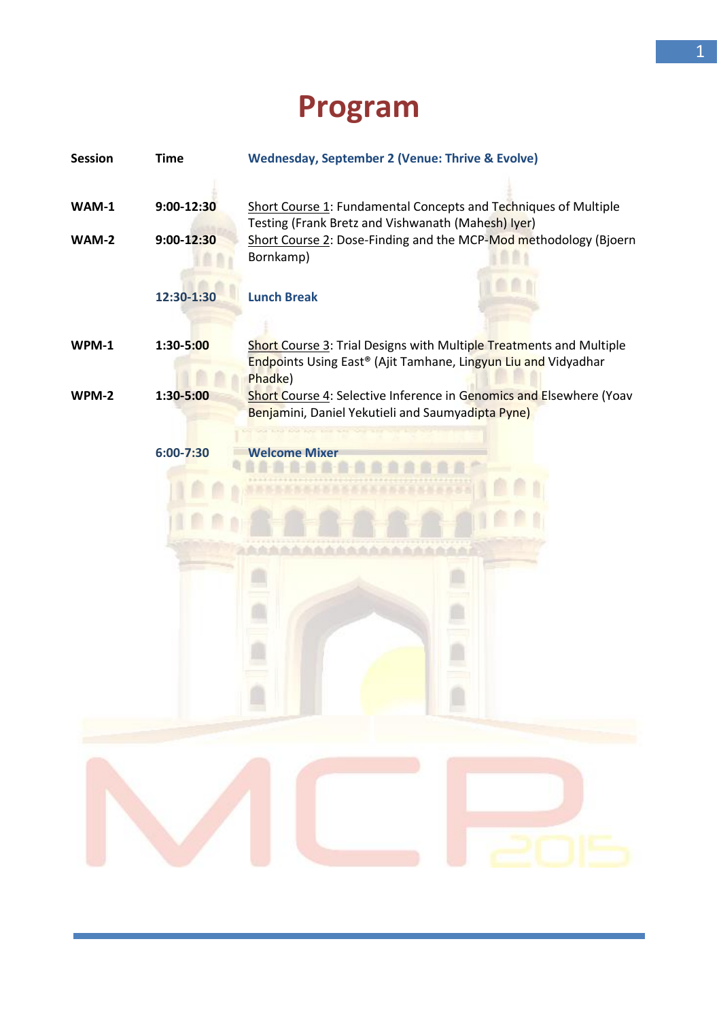## **Program**

| <b>Session</b>        | Time                         | <b>Wednesday, September 2 (Venue: Thrive &amp; Evolve)</b>                                                                                                                                             |
|-----------------------|------------------------------|--------------------------------------------------------------------------------------------------------------------------------------------------------------------------------------------------------|
| WAM-1<br><b>WAM-2</b> | $9:00 - 12:30$<br>9:00-12:30 | Short Course 1: Fundamental Concepts and Techniques of Multiple<br>Testing (Frank Bretz and Vishwanath (Mahesh) Iyer)<br>Short Course 2: Dose-Finding and the MCP-Mod methodology (Bjoern<br>Bornkamp) |
|                       | 12:30-1:30                   | <b>Lunch Break</b>                                                                                                                                                                                     |
| <b>WPM-1</b>          | 1:30-5:00                    | Short Course 3: Trial Designs with Multiple Treatments and Multiple<br>Endpoints Using East® (Ajit Tamhane, Lingyun Liu and Vidyadhar<br>Phadke)                                                       |
| WPM-2                 | 1:30-5:00                    | Short Course 4: Selective Inference in Genomics and Elsewhere (Yoav<br>Benjamini, Daniel Yekutieli and Saumyadipta Pyne)                                                                               |
|                       | $6:00 - 7:30$                | <b>Welcome Mixer</b>                                                                                                                                                                                   |
|                       |                              |                                                                                                                                                                                                        |
|                       |                              |                                                                                                                                                                                                        |
|                       |                              |                                                                                                                                                                                                        |
|                       |                              |                                                                                                                                                                                                        |
|                       |                              |                                                                                                                                                                                                        |
|                       |                              |                                                                                                                                                                                                        |
|                       |                              |                                                                                                                                                                                                        |
|                       |                              |                                                                                                                                                                                                        |
|                       |                              |                                                                                                                                                                                                        |
|                       |                              |                                                                                                                                                                                                        |
|                       |                              |                                                                                                                                                                                                        |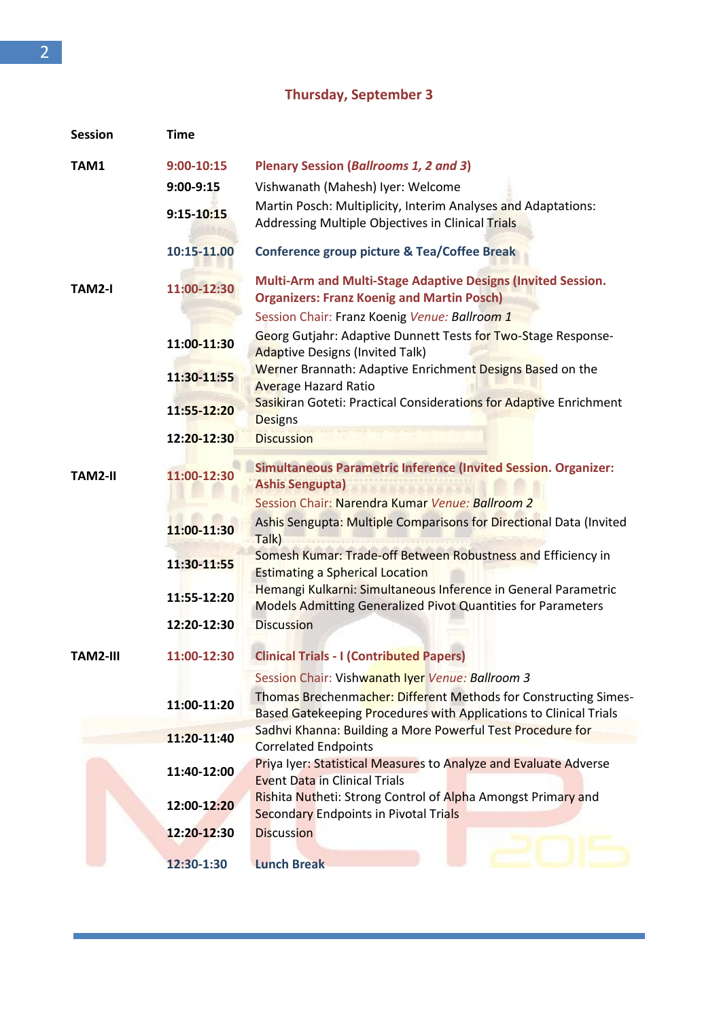## **Thursday, September 3**

| <b>Session</b>  | <b>Time</b>    |                                                                                                                                      |
|-----------------|----------------|--------------------------------------------------------------------------------------------------------------------------------------|
| TAM1            | $9:00 - 10:15$ | Plenary Session (Ballrooms 1, 2 and 3)                                                                                               |
|                 | $9:00 - 9:15$  | Vishwanath (Mahesh) Iyer: Welcome                                                                                                    |
|                 | 9:15-10:15     | Martin Posch: Multiplicity, Interim Analyses and Adaptations:<br>Addressing Multiple Objectives in Clinical Trials                   |
|                 | 10:15-11.00    | Conference group picture & Tea/Coffee Break                                                                                          |
| TAM2-I          | 11:00-12:30    | <b>Multi-Arm and Multi-Stage Adaptive Designs (Invited Session.</b><br><b>Organizers: Franz Koenig and Martin Posch)</b>             |
|                 |                | Session Chair: Franz Koenig Venue: Ballroom 1                                                                                        |
|                 | 11:00-11:30    | Georg Gutjahr: Adaptive Dunnett Tests for Two-Stage Response-<br><b>Adaptive Designs (Invited Talk)</b>                              |
|                 | 11:30-11:55    | Werner Brannath: Adaptive Enrichment Designs Based on the<br><b>Average Hazard Ratio</b>                                             |
|                 | 11:55-12:20    | Sasikiran Goteti: Practical Considerations for Adaptive Enrichment<br><b>Designs</b>                                                 |
|                 | 12:20-12:30    | <b>Discussion</b>                                                                                                                    |
| TAM2-II         | 11:00-12:30    | Simultaneous Parametric Inference (Invited Session. Organizer:<br><b>Ashis Sengupta)</b>                                             |
|                 |                | Session Chair: Narendra Kumar Venue: Ballroom 2                                                                                      |
|                 | 11:00-11:30    | Ashis Sengupta: Multiple Comparisons for Directional Data (Invited<br>Talk)                                                          |
|                 | 11:30-11:55    | Somesh Kumar: Trade-off Between Robustness and Efficiency in<br><b>Estimating a Spherical Location</b>                               |
|                 | 11:55-12:20    | Hemangi Kulkarni: Simultaneous Inference in General Parametric<br>Models Admitting Generalized Pivot Quantities for Parameters       |
|                 | 12:20-12:30    | <b>Discussion</b>                                                                                                                    |
| <b>TAM2-III</b> | 11:00-12:30    | <b>Clinical Trials - I (Contributed Papers)</b>                                                                                      |
|                 |                | Session Chair: Vishwanath Iyer Venue: Ballroom 3                                                                                     |
|                 | 11:00-11:20    | Thomas Brechenmacher: Different Methods for Constructing Simes-<br>Based Gatekeeping Procedures with Applications to Clinical Trials |
|                 | 11:20-11:40    | Sadhvi Khanna: Building a More Powerful Test Procedure for<br><b>Correlated Endpoints</b>                                            |
|                 | 11:40-12:00    | <b>Priya Iyer: Statistical Measures to Analyze and Evaluate Adverse</b><br><b>Event Data in Clinical Trials</b>                      |
|                 | 12:00-12:20    | Rishita Nutheti: Strong Control of Alpha Amongst Primary and<br><b>Secondary Endpoints in Pivotal Trials</b>                         |
|                 | 12:20-12:30    | <b>Discussion</b>                                                                                                                    |
|                 | 12:30-1:30     | <b>Lunch Break</b>                                                                                                                   |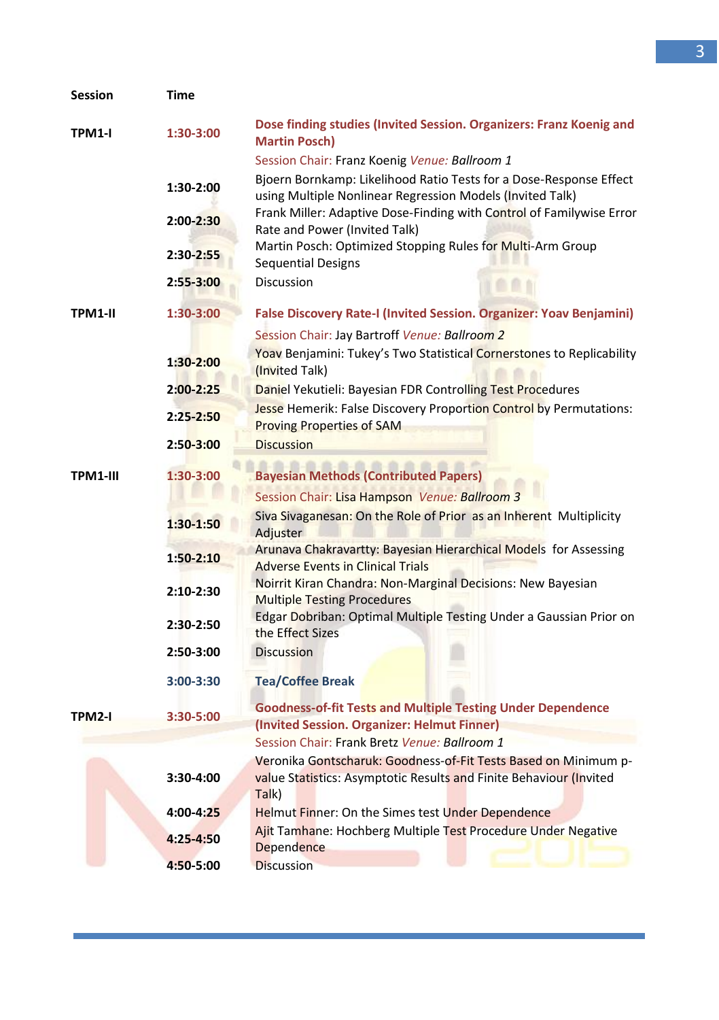| Session       | Time          |                                                                                                                                              |
|---------------|---------------|----------------------------------------------------------------------------------------------------------------------------------------------|
| TPM1-I        | 1:30-3:00     | Dose finding studies (Invited Session. Organizers: Franz Koenig and<br><b>Martin Posch)</b><br>Session Chair: Franz Koenig Venue: Ballroom 1 |
|               | 1:30-2:00     | Bjoern Bornkamp: Likelihood Ratio Tests for a Dose-Response Effect<br>using Multiple Nonlinear Regression Models (Invited Talk)              |
|               | 2:00-2:30     | Frank Miller: Adaptive Dose-Finding with Control of Familywise Error<br>Rate and Power (Invited Talk)                                        |
|               | 2:30-2:55     | Martin Posch: Optimized Stopping Rules for Multi-Arm Group<br><b>Sequential Designs</b>                                                      |
|               | 2:55-3:00     | <b>Discussion</b>                                                                                                                            |
| TPM1-II       | 1:30-3:00     | False Discovery Rate-I (Invited Session. Organizer: Yoav Benjamini)                                                                          |
|               |               | Session Chair: Jay Bartroff Venue: Ballroom 2                                                                                                |
|               | $1:30-2:00$   | <b>Yoay</b> Benjamini: Tukey's Two Statistical Cornerstones to Replicability<br>(Invited Talk)                                               |
|               | $2:00 - 2:25$ | Daniel Yekutieli: Bayesian FDR Controlling Test Procedures                                                                                   |
|               | 2:25-2:50     | <b>Jesse Hemerik: False Discovery Proportion Control by Permutations:</b><br><b>Proving Properties of SAM</b>                                |
|               | 2:50-3:00     | <b>Discussion</b>                                                                                                                            |
|               |               |                                                                                                                                              |
| TPM1-III      | 1:30-3:00     | <b>Bayesian Methods (Contributed Papers)</b>                                                                                                 |
|               |               | Session Chair: Lisa Hampson Venue: Ballroom 3                                                                                                |
|               | $1:30-1:50$   | Siva Sivaganesan: On the Role of Prior as an Inherent Multiplicity<br><b>Adjuster</b>                                                        |
|               |               | Arunava Chakravartty: Bayesian Hierarchical Models for Assessing                                                                             |
|               | $1:50-2:10$   | <b>Adverse Events in Clinical Trials</b>                                                                                                     |
|               | $2:10-2:30$   | Noirrit Kiran Chandra: Non-Marginal Decisions: New Bayesian<br><b>Multiple Testing Procedures</b>                                            |
|               | 2:30-2:50     | Edgar Dobriban: Optimal Multiple Testing Under a Gaussian Prior on<br>the Effect Sizes                                                       |
|               | 2:50-3:00     | <b>Discussion</b>                                                                                                                            |
|               | 3:00-3:30     | <b>Tea/Coffee Break</b>                                                                                                                      |
| <b>TPM2-I</b> | 3:30-5:00     | <b>Goodness-of-fit Tests and Multiple Testing Under Dependence</b>                                                                           |
|               |               | (Invited Session. Organizer: Helmut Finner)                                                                                                  |
|               |               | Session Chair: Frank Bretz Venue: Ballroom 1                                                                                                 |
|               |               | Veronika Gontscharuk: Goodness-of-Fit Tests Based on Minimum p-                                                                              |
|               | 3:30-4:00     | value Statistics: Asymptotic Results and Finite Behaviour (Invited<br>Talk)                                                                  |
|               | 4:00-4:25     | <b>Helmut Finner: On the Simes test Under Dependence</b>                                                                                     |
|               | 4:25-4:50     | Ajit Tamhane: Hochberg Multiple Test Procedure Under Negative<br><b>Dependence</b>                                                           |
|               | 4:50-5:00     | <b>Discussion</b>                                                                                                                            |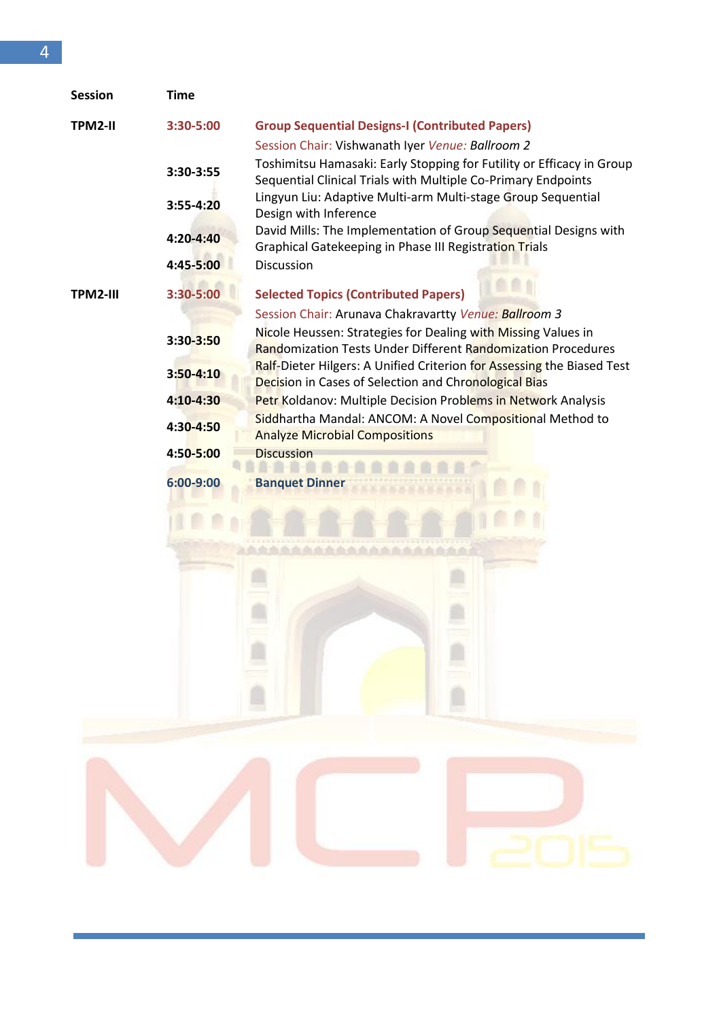| <b>Session</b> | <b>Time</b>   |                                                                                                                                        |
|----------------|---------------|----------------------------------------------------------------------------------------------------------------------------------------|
| TPM2-II        | 3:30-5:00     | <b>Group Sequential Designs-I (Contributed Papers)</b>                                                                                 |
|                |               | Session Chair: Vishwanath Iver Venue: Ballroom 2                                                                                       |
|                | 3:30-3:55     | Toshimitsu Hamasaki: Early Stopping for Futility or Efficacy in Group<br>Sequential Clinical Trials with Multiple Co-Primary Endpoints |
|                | 3:55-4:20     | Lingyun Liu: Adaptive Multi-arm Multi-stage Group Sequential<br>Design with Inference                                                  |
|                | $4:20 - 4:40$ | David Mills: The Implementation of Group Sequential Designs with<br>Graphical Gatekeeping in Phase III Registration Trials             |
|                | 4:45-5:00     | <b>Discussion</b>                                                                                                                      |
| TPM2-III       | 3:30-5:00     | <b>Selected Topics (Contributed Papers)</b>                                                                                            |
|                |               | Session Chair: Arunava Chakravartty Venue: Ballroom 3                                                                                  |
|                | 3:30-3:50     | Nicole Heussen: Strategies for Dealing with Missing Values in<br><b>Randomization Tests Under Different Randomization Procedures</b>   |
|                | $3:50 - 4:10$ | Ralf-Dieter Hilgers: A Unified Criterion for Assessing the Biased Test<br><b>Decision in Cases of Selection and Chronological Bias</b> |
|                | $4:10 - 4:30$ | Petr Koldanov: Multiple Decision Problems in Network Analysis                                                                          |
|                | 4:30-4:50     | Siddhartha Mandal: ANCOM: A Novel Compositional Method to<br><b>Analyze Microbial Compositions</b>                                     |
|                | 4:50-5:00     | <b>Discussion</b>                                                                                                                      |
|                | 6:00-9:00     | <b>Banquet Dinner</b>                                                                                                                  |
|                |               |                                                                                                                                        |
|                |               |                                                                                                                                        |
|                |               |                                                                                                                                        |
|                |               |                                                                                                                                        |
|                |               |                                                                                                                                        |
|                |               |                                                                                                                                        |

E

i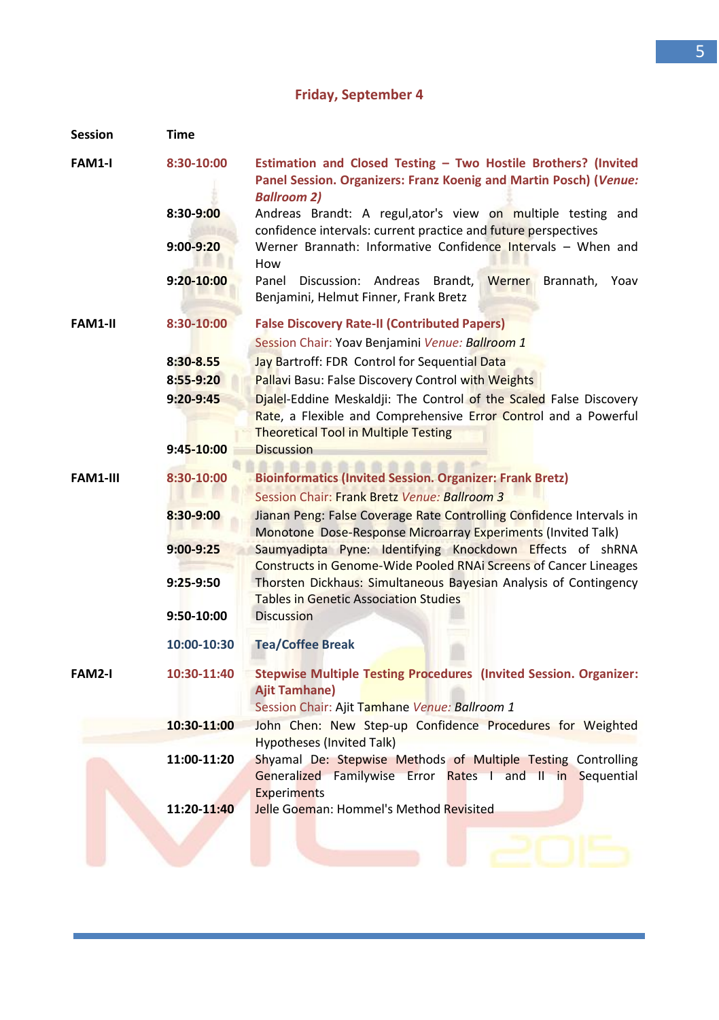## **Friday, September 4**

| <b>Session</b>  | Time          |                                                                                                                                                                                      |
|-----------------|---------------|--------------------------------------------------------------------------------------------------------------------------------------------------------------------------------------|
| FAM1-I          | 8:30-10:00    | Estimation and Closed Testing - Two Hostile Brothers? (Invited<br>Panel Session. Organizers: Franz Koenig and Martin Posch) (Venue:<br><b>Ballroom 2)</b>                            |
|                 | 8:30-9:00     | Andreas Brandt: A regul, ator's view on multiple testing and<br>confidence intervals: current practice and future perspectives                                                       |
|                 | 9:00-9:20     | Werner Brannath: Informative Confidence Intervals - When and<br>How                                                                                                                  |
|                 | 9:20-10:00    | Panel Discussion: Andreas Brandt,<br>Werner<br>Brannath, Yoav<br>Benjamini, Helmut Finner, Frank Bretz                                                                               |
| FAM1 II         | 8:30-10:00    | <b>False Discovery Rate-II (Contributed Papers)</b><br>Session Chair: Yoav Benjamini Venue: Ballroom 1                                                                               |
|                 | $8:30-8.55$   | Jay Bartroff: FDR Control for Sequential Data                                                                                                                                        |
|                 | $8:55 - 9:20$ | Pallavi Basu: False Discovery Control with Weights                                                                                                                                   |
|                 | $9:20 - 9:45$ | Dialel-Eddine Meskaldji: The Control of the Scaled False Discovery<br>Rate, a Flexible and Comprehensive Error Control and a Powerful<br><b>Theoretical Tool in Multiple Testing</b> |
|                 | 9:45 10:00    | <b>Discussion</b>                                                                                                                                                                    |
| <b>FAM1-III</b> | 8:30-10:00    | <b>Bioinformatics (Invited Session. Organizer: Frank Bretz)</b><br>Session Chair: Frank Bretz Venue: Ballroom 3                                                                      |
|                 | $8:30 - 9:00$ | Jianan Peng: False Coverage Rate Controlling Confidence Intervals in<br>Monotone Dose-Response Microarray Experiments (Invited Talk)                                                 |
|                 | $9:00 - 9:25$ | Saumyadipta Pyne: Identifying Knockdown Effects of shRNA<br>Constructs in Genome-Wide Pooled RNAi Screens of Cancer Lineages                                                         |
|                 | 9:25 9:50     | Thorsten Dickhaus: Simultaneous Bayesian Analysis of Contingency<br><b>Tables in Genetic Association Studies</b>                                                                     |
|                 | 9:50 10:00    | <b>Discussion</b>                                                                                                                                                                    |
|                 | 10:00-10:30   | <b>Tea/Coffee Break</b>                                                                                                                                                              |
| FAM2-I          | 10:30-11:40   | Stepwise Multiple Testing Procedures (Invited Session. Organizer:<br><b>Ajit Tamhane)</b><br>Session Chair: Ajit Tamhane Venue: Ballroom 1                                           |
|                 | 10:30-11:00   | John Chen: New Step-up Confidence Procedures for Weighted                                                                                                                            |
|                 |               | <b>Hypotheses (Invited Talk)</b>                                                                                                                                                     |
|                 | 11:00-11:20   | Shyamal De: Stepwise Methods of Multiple Testing Controlling<br>Generalized Familywise Error Rates I and II in Sequential<br><b>Experiments</b>                                      |
|                 | 11:20-11:40   | Jelle Goeman: Hommel's Method Revisited                                                                                                                                              |
|                 |               |                                                                                                                                                                                      |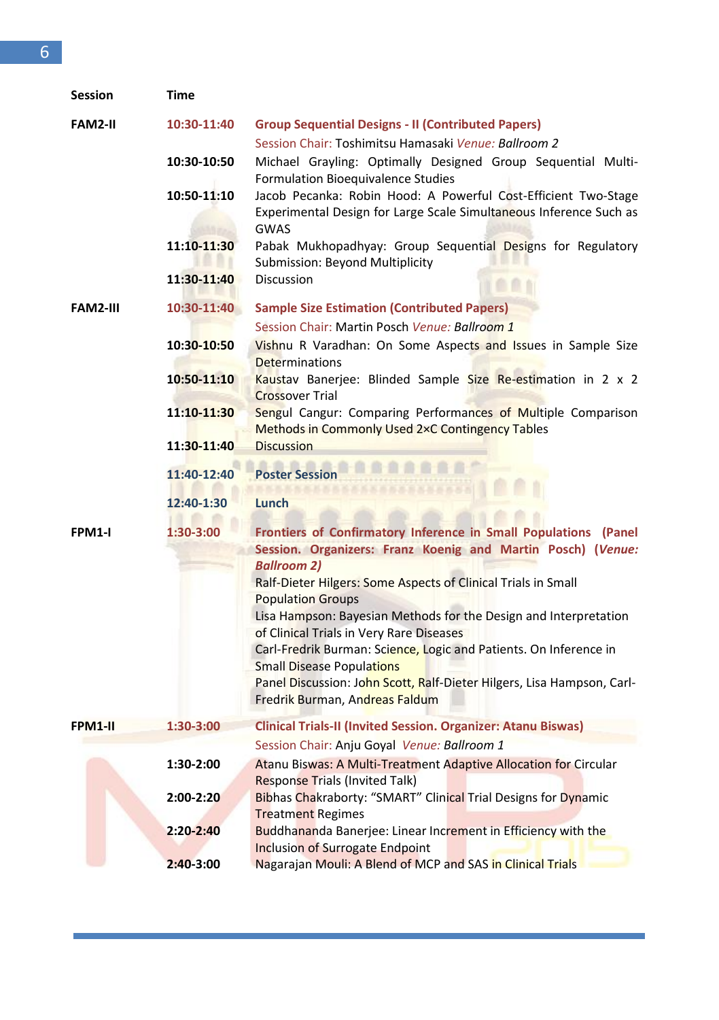| <b>Session</b>  | Time          |                                                                                                                                |
|-----------------|---------------|--------------------------------------------------------------------------------------------------------------------------------|
| <b>FAM2-II</b>  | 10:30-11:40   | <b>Group Sequential Designs - II (Contributed Papers)</b>                                                                      |
|                 |               | Session Chair: Toshimitsu Hamasaki Venue: Ballroom 2                                                                           |
|                 | 10:30-10:50   | Michael Grayling: Optimally Designed Group Sequential Multi-<br>Formulation Bioequivalence Studies                             |
|                 | 10:50-11:10   | Jacob Pecanka: Robin Hood: A Powerful Cost-Efficient Two-Stage                                                                 |
|                 |               | Experimental Design for Large Scale Simultaneous Inference Such as<br><b>GWAS</b>                                              |
|                 | 11:10-11:30   | Pabak Mukhopadhyay: Group Sequential Designs for Regulatory<br>Submission: Beyond Multiplicity                                 |
|                 | 11:30-11:40   | <b>Discussion</b>                                                                                                              |
| <b>FAM2-III</b> | 10:30-11:40   | <b>Sample Size Estimation (Contributed Papers)</b>                                                                             |
|                 |               | Session Chair: Martin Posch Venue: Ballroom 1                                                                                  |
|                 | 10:30-10:50   | Vishnu R Varadhan: On Some Aspects and Issues in Sample Size<br>Determinations                                                 |
|                 | 10:50-11:10   | Kaustav Banerjee: Blinded Sample Size Re-estimation in 2 x 2<br><b>Crossover Trial</b>                                         |
|                 | 11:10-11:30   | Sengul Cangur: Comparing Performances of Multiple Comparison                                                                   |
|                 | 11:30-11:40   | <b>Methods in Commonly Used 2xC Contingency Tables</b><br><b>Discussion</b>                                                    |
|                 |               |                                                                                                                                |
|                 | 11:40-12:40   | <b>Poster Session</b>                                                                                                          |
|                 | 12:40-1:30    | Lunch                                                                                                                          |
| FPM1-I          | $1:30-3:00$   | Frontiers of Confirmatory Inference in Small Populations (Panel<br>Session. Organizers: Franz Koenig and Martin Posch) (Venue: |
|                 |               | <b>Ballroom 2)</b>                                                                                                             |
|                 |               | Ralf-Dieter Hilgers: Some Aspects of Clinical Trials in Small                                                                  |
|                 |               | <b>Population Groups</b>                                                                                                       |
|                 |               | Lisa Hampson: Bayesian Methods for the Design and Interpretation                                                               |
|                 |               | of Clinical Trials in Very Rare Diseases<br>Carl-Fredrik Burman: Science, Logic and Patients. On Inference in                  |
|                 |               | <b>Small Disease Populations</b>                                                                                               |
|                 |               | Panel Discussion: John Scott, Ralf-Dieter Hilgers, Lisa Hampson, Carl-                                                         |
|                 |               | Fredrik Burman, Andreas Faldum                                                                                                 |
| FPM1-II         | 1:30-3:00     | Clinical Trials-II (Invited Session. Organizer: Atanu Biswas)                                                                  |
|                 |               | Session Chair: Anju Goyal Venue: Ballroom 1                                                                                    |
|                 | 1:30-2:00     | Atanu Biswas: A Multi-Treatment Adaptive Allocation for Circular                                                               |
|                 | $2:00 - 2:20$ | <b>Response Trials (Invited Talk)</b><br>Bibhas Chakraborty: "SMART" Clinical Trial Designs for Dynamic                        |
|                 |               | <b>Treatment Regimes</b>                                                                                                       |
|                 | 2:20-2:40     | <b>Buddhananda Banerjee: Linear Increment in Efficiency with the</b>                                                           |
|                 |               | <b>Inclusion of Surrogate Endpoint</b>                                                                                         |
|                 | $2:40-3:00$   | Nagarajan Mouli: A Blend of MCP and SAS in Clinical Trials                                                                     |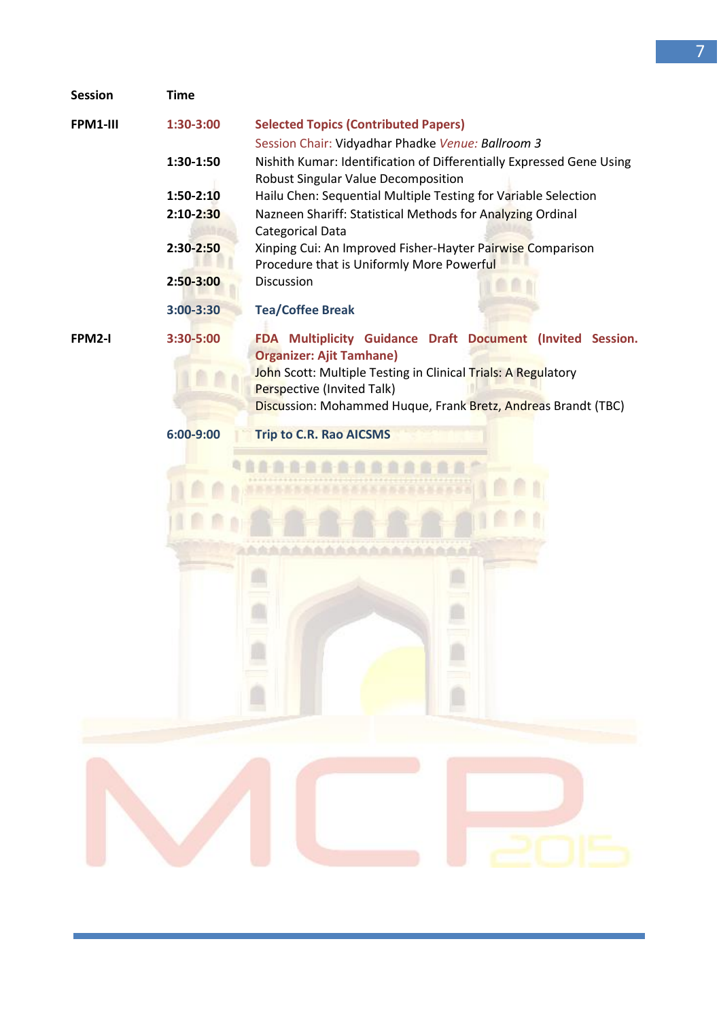| <b>Session</b> | <b>Time</b>   |                                                                                                             |
|----------------|---------------|-------------------------------------------------------------------------------------------------------------|
| FPM1-III       | $1:30-3:00$   | <b>Selected Topics (Contributed Papers)</b>                                                                 |
|                |               | Session Chair: Vidyadhar Phadke Venue: Ballroom 3                                                           |
|                | 1:30-1:50     | Nishith Kumar: Identification of Differentially Expressed Gene Using<br>Robust Singular Value Decomposition |
|                | 1:50-2:10     | Hailu Chen: Sequential Multiple Testing for Variable Selection                                              |
|                | $2:10 - 2:30$ | Nazneen Shariff: Statistical Methods for Analyzing Ordinal                                                  |
|                | 2:30-2:50     | Categorical Data                                                                                            |
|                |               | Xinping Cui: An Improved Fisher-Hayter Pairwise Comparison<br>Procedure that is Uniformly More Powerful     |
|                | 2:50-3:00     | <b>Discussion</b>                                                                                           |
|                | 3:00-3:30     | <b>Tea/Coffee Break</b>                                                                                     |
|                |               |                                                                                                             |
| FPM2-I         | 3:30-5:00     | FDA Multiplicity Guidance Draft Document (Invited Session.                                                  |
|                |               | <b>Organizer: Ajit Tamhane)</b><br>John Scott: Multiple Testing in Clinical Trials: A Regulatory            |
|                |               | Perspective (Invited Talk)                                                                                  |
|                |               | Discussion: Mohammed Huque, Frank Bretz, Andreas Brandt (TBC)                                               |
|                | 6:00-9:00     | <b>Trip to C.R. Rao AICSMS</b>                                                                              |
|                |               |                                                                                                             |
|                |               |                                                                                                             |
|                |               |                                                                                                             |
|                |               |                                                                                                             |
|                |               |                                                                                                             |
|                |               |                                                                                                             |
|                |               |                                                                                                             |
|                |               |                                                                                                             |
|                |               |                                                                                                             |
|                |               |                                                                                                             |
|                |               |                                                                                                             |
|                |               |                                                                                                             |
|                |               |                                                                                                             |
|                |               |                                                                                                             |
|                |               |                                                                                                             |
|                |               |                                                                                                             |
|                |               |                                                                                                             |
|                |               |                                                                                                             |
|                |               |                                                                                                             |
|                |               |                                                                                                             |
|                |               |                                                                                                             |